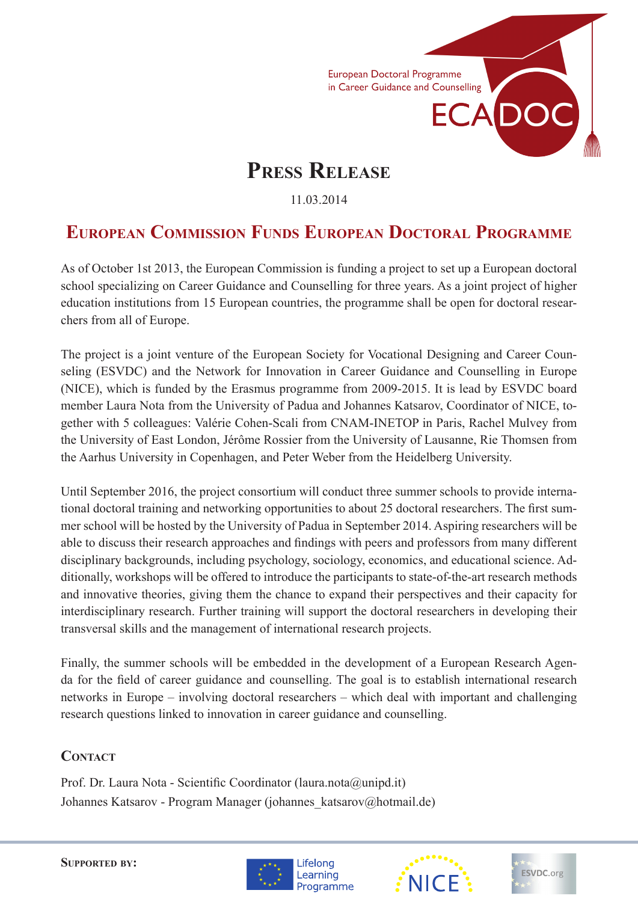

# **Press Release**

11.03.2014

## **European Commission Funds European Doctoral Programme**

As of October 1st 2013, the European Commission is funding a project to set up a European doctoral school specializing on Career Guidance and Counselling for three years. As a joint project of higher education institutions from 15 European countries, the programme shall be open for doctoral researchers from all of Europe.

The project is a joint venture of the European Society for Vocational Designing and Career Counseling (ESVDC) and the Network for Innovation in Career Guidance and Counselling in Europe (NICE), which is funded by the Erasmus programme from 2009-2015. It is lead by ESVDC board member Laura Nota from the University of Padua and Johannes Katsarov, Coordinator of NICE, together with 5 colleagues: Valérie Cohen-Scali from CNAM-INETOP in Paris, Rachel Mulvey from the University of East London, Jérôme Rossier from the University of Lausanne, Rie Thomsen from the Aarhus University in Copenhagen, and Peter Weber from the Heidelberg University.

Until September 2016, the project consortium will conduct three summer schools to provide international doctoral training and networking opportunities to about 25 doctoral researchers. The first summer school will be hosted by the University of Padua in September 2014. Aspiring researchers will be able to discuss their research approaches and findings with peers and professors from many different disciplinary backgrounds, including psychology, sociology, economics, and educational science. Additionally, workshops will be offered to introduce the participants to state-of-the-art research methods and innovative theories, giving them the chance to expand their perspectives and their capacity for interdisciplinary research. Further training will support the doctoral researchers in developing their transversal skills and the management of international research projects.

Finally, the summer schools will be embedded in the development of a European Research Agenda for the field of career guidance and counselling. The goal is to establish international research networks in Europe – involving doctoral researchers – which deal with important and challenging research questions linked to innovation in career guidance and counselling.

#### **CONTACT**

Prof. Dr. Laura Nota - Scientific Coordinator (laura.nota@unipd.it) Johannes Katsarov - Program Manager (johannes\_katsarov@hotmail.de)

**Supported by:**





ESVDC.org